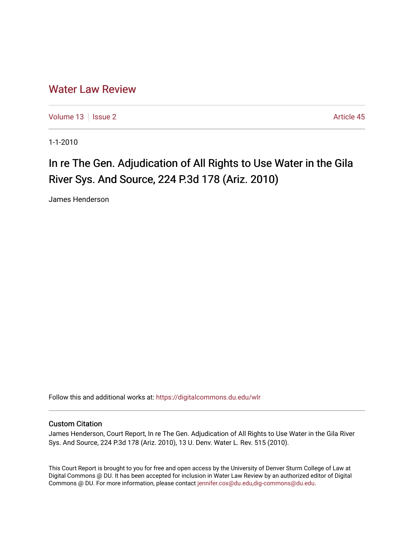## [Water Law Review](https://digitalcommons.du.edu/wlr)

[Volume 13](https://digitalcommons.du.edu/wlr/vol13) | [Issue 2](https://digitalcommons.du.edu/wlr/vol13/iss2) Article 45

1-1-2010

# In re The Gen. Adjudication of All Rights to Use Water in the Gila River Sys. And Source, 224 P.3d 178 (Ariz. 2010)

James Henderson

Follow this and additional works at: [https://digitalcommons.du.edu/wlr](https://digitalcommons.du.edu/wlr?utm_source=digitalcommons.du.edu%2Fwlr%2Fvol13%2Fiss2%2F45&utm_medium=PDF&utm_campaign=PDFCoverPages) 

#### Custom Citation

James Henderson, Court Report, In re The Gen. Adjudication of All Rights to Use Water in the Gila River Sys. And Source, 224 P.3d 178 (Ariz. 2010), 13 U. Denv. Water L. Rev. 515 (2010).

This Court Report is brought to you for free and open access by the University of Denver Sturm College of Law at Digital Commons @ DU. It has been accepted for inclusion in Water Law Review by an authorized editor of Digital Commons @ DU. For more information, please contact [jennifer.cox@du.edu,dig-commons@du.edu.](mailto:jennifer.cox@du.edu,dig-commons@du.edu)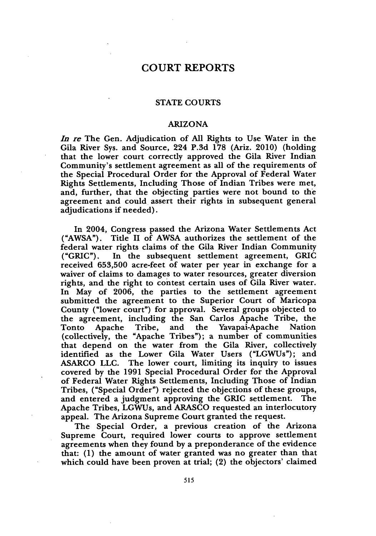### **COURT** REPORTS

#### **STATE** COURTS

#### ARIZONA

*In re* The Gen. Adjudication of All Rights to Use Water in the Gila River Sys. and Source, 224 P.3d 178 (Ariz. 2010) (holding that the lower court correctly approved the Gila River Indian Community's settlement agreement as all of the requirements of the Special Procedural Order for the Approval of Federal Water Rights Settlements, Including Those of Indian Tribes were met, and, further, that the objecting parties were not bound to the agreement and could assert their rights in subsequent general adjudications if needed).

In 2004, Congress passed the Arizona Water Settlements Act ("AWSA"). Title II of AWSA authorizes the settlement of the federal water rights claims of the Gila River Indian Community ("GRIC"). In the subsequent settlement agreement, GRIC received **653,500** acre-feet of water per year in exchange for a waiver of claims to damages to water resources, greater diversion rights, and the right to contest certain uses of Gila River water. In May of 2006, the parties to the settlement agreement submitted the agreement to the Superior Court of Maricopa County ("lower court") for approval. Several groups objected to the agreement, including the San Carlos Apache Tribe, the Tonto Apache Tribe, and the Yavapai-Apache Nation (collectively, the "Apache Tribes"); a number of communities that depend on the water from the Gila River, collectively identified as the Lower Gila Water Users ("LGWUs"); and ASARCO LLC. The lower court, limiting its inquiry to issues covered by the 1991 Special Procedural Order for the Approval of Federal Water Rights Settlements, Including Those of Indian Tribes, ("Special Order") rejected the objections of these groups, and entered a judgment approving the GRIC settlement. The Apache Tribes, LGWUs, and ARASCO requested an interlocutory appeal. The Arizona Supreme Court granted the request.

The Special Order, a previous creation of the Arizona Supreme Court, required lower courts to approve settlement agreements when they found **by** a preponderance of the evidence that: (1) the amount of water granted was no greater than that which could have been proven at trial; (2) the objectors' claimed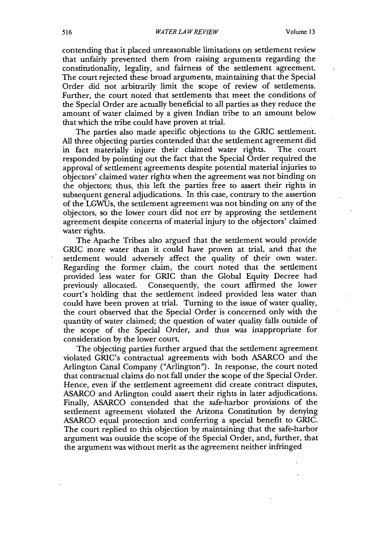contending that it placed unreasonable limitations on settlement review that unfairly prevented them from raising arguments regarding the constitutionality, legality, and fairness of the settlement agreement. The court rejected these broad arguments, maintaining that the Special Order did not arbitrarily limit the scope of review of settlements. Further, the court noted that settlements that meet the conditions of the Special Order are actually beneficial to all parties as they reduce the amount of water claimed **by** a given Indian tribe to an amount below that which the tribe could have proven at trial.

The parties also made specific objections to the GRIC settlement. All three objecting parties contended that the settlement agreement did<br>in fact materially injure their claimed water rights. The court in fact materially injure their claimed water rights. responded **by** pointing out the fact that the Special Order required the approval of settlement agreements despite potential material injuries to objectors' claimed water rights when the agreement was not binding on the objectors; thus, this left the parties free to assert their rights in subsequent general adjudications. In this case, contrary to the assertion of the LGWUs, the settlement agreement was not binding on any of the objectors, so the lower court did not err **by** approving the settlement agreement despite concerns of material injury to the objectors' claimed water rights.

The Apache Tribes also argued that the settlement would provide GRIC more water than it could have proven at trial, and that the settlement would adversely affect the quality of their own water. Regarding the former claim, the court noted that the settlement provided less water for GRIC than the Global Equity Decree had previously allocated. Consequently, the court affirmed the lower court's holding that the settlement indeed provided less water than could have been proven at trial. Turning to the issue of water quality, the court observed that the Special Order is concerned only with the quantity of water claimed; the question of water quality falls outside of the scope of the Special Order, and thus was inappropriate for consideration **by** the lower court.

The objecting parties further argued that the settlement agreement violated GRIC's contractual agreements with both **ASARCO** and the Arlington Canal Company ("Arlington"). In response, the court noted that contractual claims do not fall under the scope of the Special Order. Hence, even if the settlement agreement did create contract disputes, **ASARCO** and Arlington could assert their rights in later adjudications. Finally, **ASARCO** contended that the safe-harbor provisions of the settlement agreement violated the Arizona Constitution **by** denying **ASARCO** equal protection and conferring a special benefit to GRIC. The court replied to this objection **by** maintaining that the safe-harbor argument was outside the scope of the Special Order, and, further, that the argument was without merit as the agreement neither infringed